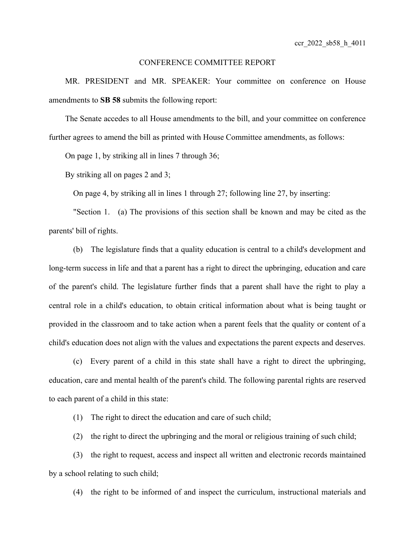## CONFERENCE COMMITTEE REPORT

MR. PRESIDENT and MR. SPEAKER: Your committee on conference on House amendments to **SB 58** submits the following report:

The Senate accedes to all House amendments to the bill, and your committee on conference further agrees to amend the bill as printed with House Committee amendments, as follows:

On page 1, by striking all in lines 7 through 36;

By striking all on pages 2 and 3;

On page 4, by striking all in lines 1 through 27; following line 27, by inserting:

"Section 1. (a) The provisions of this section shall be known and may be cited as the parents' bill of rights.

(b) The legislature finds that a quality education is central to a child's development and long-term success in life and that a parent has a right to direct the upbringing, education and care of the parent's child. The legislature further finds that a parent shall have the right to play a central role in a child's education, to obtain critical information about what is being taught or provided in the classroom and to take action when a parent feels that the quality or content of a child's education does not align with the values and expectations the parent expects and deserves.

(c) Every parent of a child in this state shall have a right to direct the upbringing, education, care and mental health of the parent's child. The following parental rights are reserved to each parent of a child in this state:

(1) The right to direct the education and care of such child;

(2) the right to direct the upbringing and the moral or religious training of such child;

(3) the right to request, access and inspect all written and electronic records maintained by a school relating to such child;

(4) the right to be informed of and inspect the curriculum, instructional materials and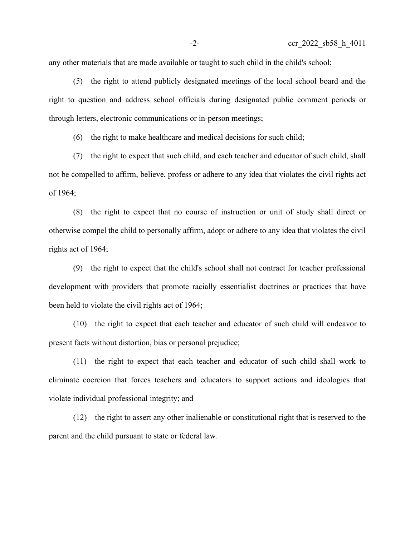any other materials that are made available or taught to such child in the child's school;

(5) the right to attend publicly designated meetings of the local school board and the right to question and address school officials during designated public comment periods or through letters, electronic communications or in-person meetings;

(6) the right to make healthcare and medical decisions for such child;

(7) the right to expect that such child, and each teacher and educator of such child, shall not be compelled to affirm, believe, profess or adhere to any idea that violates the civil rights act of 1964;

(8) the right to expect that no course of instruction or unit of study shall direct or otherwise compel the child to personally affirm, adopt or adhere to any idea that violates the civil rights act of 1964;

(9) the right to expect that the child's school shall not contract for teacher professional development with providers that promote racially essentialist doctrines or practices that have been held to violate the civil rights act of 1964;

(10) the right to expect that each teacher and educator of such child will endeavor to present facts without distortion, bias or personal prejudice;

(11) the right to expect that each teacher and educator of such child shall work to eliminate coercion that forces teachers and educators to support actions and ideologies that violate individual professional integrity; and

(12) the right to assert any other inalienable or constitutional right that is reserved to the parent and the child pursuant to state or federal law.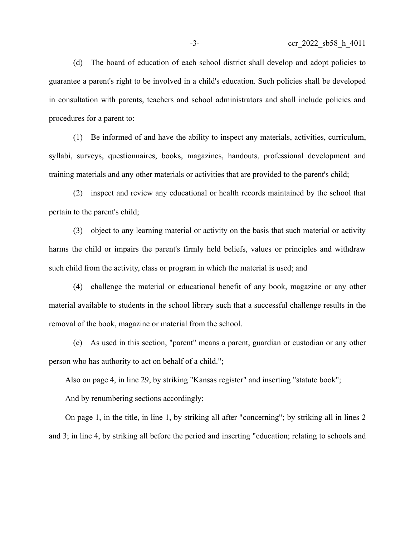(d) The board of education of each school district shall develop and adopt policies to guarantee a parent's right to be involved in a child's education. Such policies shall be developed in consultation with parents, teachers and school administrators and shall include policies and procedures for a parent to:

(1) Be informed of and have the ability to inspect any materials, activities, curriculum, syllabi, surveys, questionnaires, books, magazines, handouts, professional development and training materials and any other materials or activities that are provided to the parent's child;

(2) inspect and review any educational or health records maintained by the school that pertain to the parent's child;

(3) object to any learning material or activity on the basis that such material or activity harms the child or impairs the parent's firmly held beliefs, values or principles and withdraw such child from the activity, class or program in which the material is used; and

(4) challenge the material or educational benefit of any book, magazine or any other material available to students in the school library such that a successful challenge results in the removal of the book, magazine or material from the school.

(e) As used in this section, "parent" means a parent, guardian or custodian or any other person who has authority to act on behalf of a child.";

Also on page 4, in line 29, by striking "Kansas register" and inserting "statute book";

And by renumbering sections accordingly;

On page 1, in the title, in line 1, by striking all after "concerning"; by striking all in lines 2 and 3; in line 4, by striking all before the period and inserting "education; relating to schools and